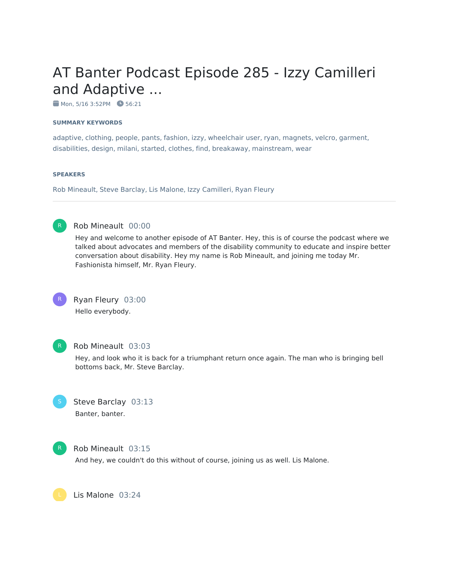# AT Banter Podcast Episode 285 - Izzy Camilleri and Adaptive ...

Mon, 5/16 3:52PM **56:21** 

#### **SUMMARY KEYWORDS**

adaptive, clothing, people, pants, fashion, izzy, wheelchair user, ryan, magnets, velcro, garment, disabilities, design, milani, started, clothes, find, breakaway, mainstream, wear

#### **SPEAKERS**

Rob Mineault, Steve Barclay, Lis Malone, Izzy Camilleri, Ryan Fleury



#### Rob Mineault 00:00

Hey and welcome to another episode of AT Banter. Hey, this is of course the podcast where we talked about advocates and members of the disability community to educate and inspire better conversation about disability. Hey my name is Rob Mineault, and joining me today Mr. Fashionista himself, Mr. Ryan Fleury.



# Ryan Fleury 03:00

Hello everybody.



#### Rob Mineault 03:03

Hey, and look who it is back for a triumphant return once again. The man who is bringing bell bottoms back, Mr. Steve Barclay.





#### Rob Mineault 03:15

And hey, we couldn't do this without of course, joining us as well. Lis Malone.

Lis Malone 03:24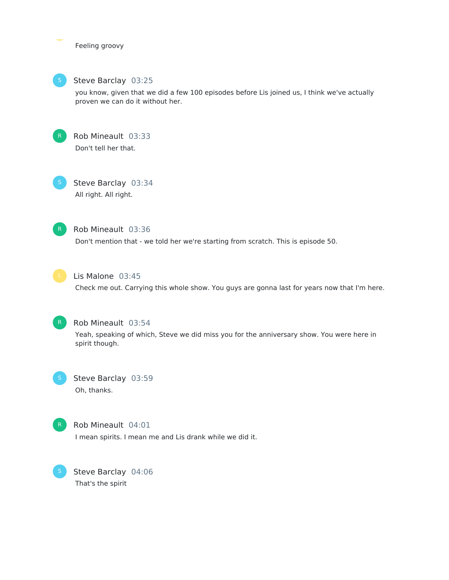Feeling groovy



## Steve Barclay 03:25

you know, given that we did a few 100 episodes before Lis joined us, I think we've actually proven we can do it without her.



Rob Mineault 03:33 Don't tell her that.



Steve Barclay 03:34 All right. All right.



Rob Mineault 03:36

Don't mention that - we told her we're starting from scratch. This is episode 50.



Lis Malone 03:45

Check me out. Carrying this whole show. You guys are gonna last for years now that I'm here.



#### Rob Mineault 03:54

Yeah, speaking of which, Steve we did miss you for the anniversary show. You were here in spirit though.

Steve Barclay 03:59 Oh, thanks.



## Rob Mineault 04:01

I mean spirits. I mean me and Lis drank while we did it.

Steve Barclay 04:06 That's the spirit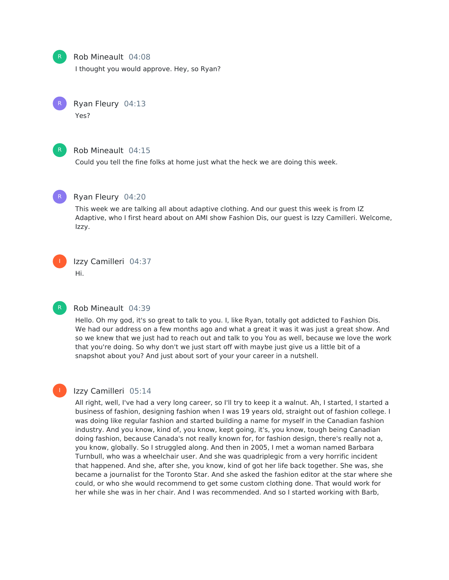

## Rob Mineault 04:08

I thought you would approve. Hey, so Ryan?



Yes?

## Rob Mineault 04:15

Could you tell the fine folks at home just what the heck we are doing this week.



### Ryan Fleury 04:20

This week we are talking all about adaptive clothing. And our guest this week is from IZ Adaptive, who I first heard about on AMI show Fashion Dis, our guest is Izzy Camilleri. Welcome, Izzy.



## Izzy Camilleri 04:37

Hi.



## Rob Mineault 04:39

Hello. Oh my god, it's so great to talk to you. I, like Ryan, totally got addicted to Fashion Dis. We had our address on a few months ago and what a great it was it was just a great show. And so we knew that we just had to reach out and talk to you You as well, because we love the work that you're doing. So why don't we just start off with maybe just give us a little bit of a snapshot about you? And just about sort of your your career in a nutshell.

## I

## Izzy Camilleri 05:14

All right, well, I've had a very long career, so I'll try to keep it a walnut. Ah, I started, I started a business of fashion, designing fashion when I was 19 years old, straight out of fashion college. I was doing like regular fashion and started building a name for myself in the Canadian fashion industry. And you know, kind of, you know, kept going, it's, you know, tough being Canadian doing fashion, because Canada's not really known for, for fashion design, there's really not a, you know, globally. So I struggled along. And then in 2005, I met a woman named Barbara Turnbull, who was a wheelchair user. And she was quadriplegic from a very horrific incident that happened. And she, after she, you know, kind of got her life back together. She was, she became a journalist for the Toronto Star. And she asked the fashion editor at the star where she could, or who she would recommend to get some custom clothing done. That would work for her while she was in her chair. And I was recommended. And so I started working with Barb,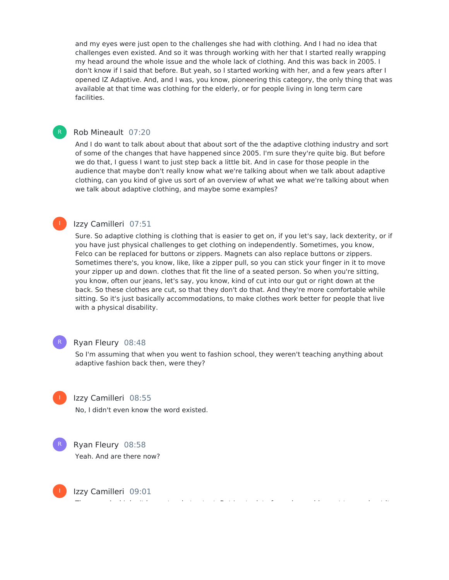and my eyes were just open to the challenges she had with clothing. And I had no idea that challenges even existed. And so it was through working with her that I started really wrapping my head around the whole issue and the whole lack of clothing. And this was back in 2005. I don't know if I said that before. But yeah, so I started working with her, and a few years after I opened IZ Adaptive. And, and I was, you know, pioneering this category, the only thing that was available at that time was clothing for the elderly, or for people living in long term care facilities.

#### Rob Mineault 07:20

R

And I do want to talk about about that about sort of the the adaptive clothing industry and sort of some of the changes that have happened since 2005. I'm sure they're quite big. But before we do that, I guess I want to just step back a little bit. And in case for those people in the audience that maybe don't really know what we're talking about when we talk about adaptive clothing, can you kind of give us sort of an overview of what we what we're talking about when we talk about adaptive clothing, and maybe some examples?

### Izzy Camilleri 07:51

Sure. So adaptive clothing is clothing that is easier to get on, if you let's say, lack dexterity, or if you have just physical challenges to get clothing on independently. Sometimes, you know, Felco can be replaced for buttons or zippers. Magnets can also replace buttons or zippers. Sometimes there's, you know, like, like a zipper pull, so you can stick your finger in it to move your zipper up and down. clothes that fit the line of a seated person. So when you're sitting, you know, often our jeans, let's say, you know, kind of cut into our gut or right down at the back. So these clothes are cut, so that they don't do that. And they're more comfortable while sitting. So it's just basically accommodations, to make clothes work better for people that live with a physical disability.

#### Ryan Fleury 08:48

So I'm assuming that when you went to fashion school, they weren't teaching anything about adaptive fashion back then, were they?



I

R

## Izzy Camilleri 08:55

No, I didn't even know the word existed.

Ryan Fleury 08:58 Yeah. And are there now? R

Izzy Camilleri 09:01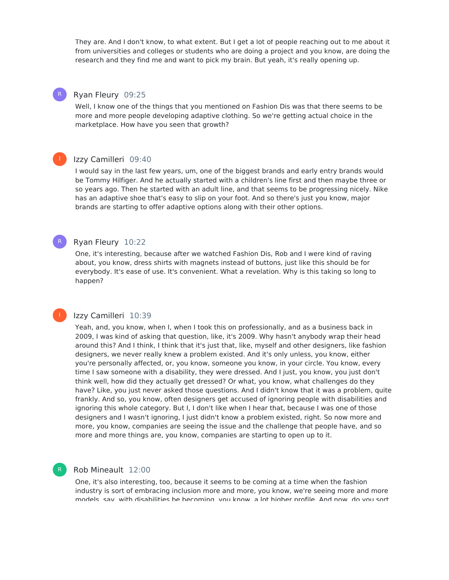They are. And I don't know, to what extent. But I get a lot of people reaching out to me about it from universities and colleges or students who are doing a project and you know, are doing the research and they find me and want to pick my brain. But yeah, it's really opening up.

#### Ryan Fleury 09:25

R

R

R

Well, I know one of the things that you mentioned on Fashion Dis was that there seems to be more and more people developing adaptive clothing. So we're getting actual choice in the marketplace. How have you seen that growth?

### Izzy Camilleri 09:40

I would say in the last few years, um, one of the biggest brands and early entry brands would be Tommy Hilfiger. And he actually started with a children's line first and then maybe three or so years ago. Then he started with an adult line, and that seems to be progressing nicely. Nike has an adaptive shoe that's easy to slip on your foot. And so there's just you know, major brands are starting to offer adaptive options along with their other options.

## Ryan Fleury 10:22

One, it's interesting, because after we watched Fashion Dis, Rob and I were kind of raving about, you know, dress shirts with magnets instead of buttons, just like this should be for everybody. It's ease of use. It's convenient. What a revelation. Why is this taking so long to happen?

## Izzy Camilleri 10:39

Yeah, and, you know, when I, when I took this on professionally, and as a business back in 2009, I was kind of asking that question, like, it's 2009. Why hasn't anybody wrap their head around this? And I think, I think that it's just that, like, myself and other designers, like fashion designers, we never really knew a problem existed. And it's only unless, you know, either you're personally affected, or, you know, someone you know, in your circle. You know, every time I saw someone with a disability, they were dressed. And I just, you know, you just don't think well, how did they actually get dressed? Or what, you know, what challenges do they have? Like, you just never asked those questions. And I didn't know that it was a problem, quite frankly. And so, you know, often designers get accused of ignoring people with disabilities and ignoring this whole category. But I, I don't like when I hear that, because I was one of those designers and I wasn't ignoring, I just didn't know a problem existed, right. So now more and more, you know, companies are seeing the issue and the challenge that people have, and so more and more things are, you know, companies are starting to open up to it.

## Rob Mineault 12:00

One, it's also interesting, too, because it seems to be coming at a time when the fashion industry is sort of embracing inclusion more and more, you know, we're seeing more and more models, say, with disabilities be becoming, you know, a lot higher profile. And now, do you sort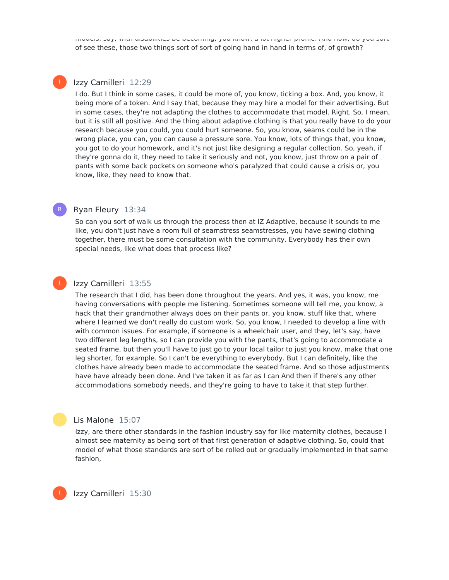models, say, with disabilities be becoming, you know, a lot higher profile. And now, do you sort of see these, those two things sort of sort of going hand in hand in terms of, of growth?

## Izzy Camilleri 12:29

I do. But I think in some cases, it could be more of, you know, ticking a box. And, you know, it being more of a token. And I say that, because they may hire a model for their advertising. But in some cases, they're not adapting the clothes to accommodate that model. Right. So, I mean, but it is still all positive. And the thing about adaptive clothing is that you really have to do your research because you could, you could hurt someone. So, you know, seams could be in the wrong place, you can, you can cause a pressure sore. You know, lots of things that, you know, you got to do your homework, and it's not just like designing a regular collection. So, yeah, if they're gonna do it, they need to take it seriously and not, you know, just throw on a pair of pants with some back pockets on someone who's paralyzed that could cause a crisis or, you know, like, they need to know that.

## Ryan Fleury 13:34

R

So can you sort of walk us through the process then at IZ Adaptive, because it sounds to me like, you don't just have a room full of seamstress seamstresses, you have sewing clothing together, there must be some consultation with the community. Everybody has their own special needs, like what does that process like?

## Izzy Camilleri 13:55

The research that I did, has been done throughout the years. And yes, it was, you know, me having conversations with people me listening. Sometimes someone will tell me, you know, a hack that their grandmother always does on their pants or, you know, stuff like that, where where I learned we don't really do custom work. So, you know, I needed to develop a line with with common issues. For example, if someone is a wheelchair user, and they, let's say, have two different leg lengths, so I can provide you with the pants, that's going to accommodate a seated frame, but then you'll have to just go to your local tailor to just you know, make that one leg shorter, for example. So I can't be everything to everybody. But I can definitely, like the clothes have already been made to accommodate the seated frame. And so those adjustments have have already been done. And I've taken it as far as I can And then if there's any other accommodations somebody needs, and they're going to have to take it that step further.

#### Lis Malone 15:07

Izzy, are there other standards in the fashion industry say for like maternity clothes, because I almost see maternity as being sort of that first generation of adaptive clothing. So, could that model of what those standards are sort of be rolled out or gradually implemented in that same fashion,

Izzy Camilleri 15:30

I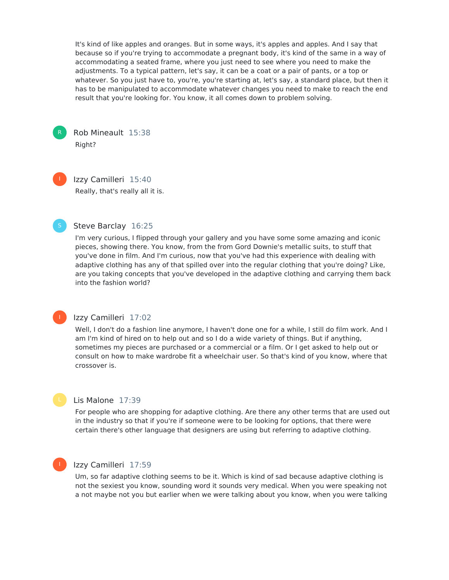It's kind of like apples and oranges. But in some ways, it's apples and apples. And I say that because so if you're trying to accommodate a pregnant body, it's kind of the same in a way of accommodating a seated frame, where you just need to see where you need to make the adjustments. To a typical pattern, let's say, it can be a coat or a pair of pants, or a top or whatever. So you just have to, you're, you're starting at, let's say, a standard place, but then it has to be manipulated to accommodate whatever changes you need to make to reach the end result that you're looking for. You know, it all comes down to problem solving.



Rob Mineault 15:38 Right?

Izzy Camilleri 15:40 Really, that's really all it is.



## Steve Barclay 16:25

I'm very curious, I flipped through your gallery and you have some some amazing and iconic pieces, showing there. You know, from the from Gord Downie's metallic suits, to stuff that you've done in film. And I'm curious, now that you've had this experience with dealing with adaptive clothing has any of that spilled over into the regular clothing that you're doing? Like, are you taking concepts that you've developed in the adaptive clothing and carrying them back into the fashion world?

## Izzy Camilleri 17:02

Well, I don't do a fashion line anymore, I haven't done one for a while, I still do film work. And I am I'm kind of hired on to help out and so I do a wide variety of things. But if anything, sometimes my pieces are purchased or a commercial or a film. Or I get asked to help out or consult on how to make wardrobe fit a wheelchair user. So that's kind of you know, where that crossover is.

#### Lis Malone 17:39

For people who are shopping for adaptive clothing. Are there any other terms that are used out in the industry so that if you're if someone were to be looking for options, that there were certain there's other language that designers are using but referring to adaptive clothing.



#### Izzy Camilleri 17:59

Um, so far adaptive clothing seems to be it. Which is kind of sad because adaptive clothing is not the sexiest you know, sounding word it sounds very medical. When you were speaking not a not maybe not you but earlier when we were talking about you know, when you were talking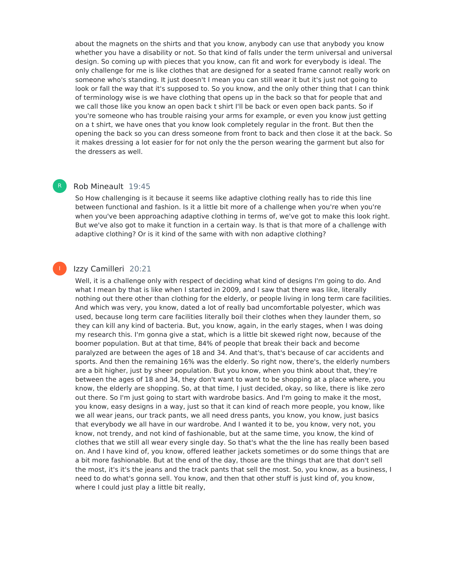about the magnets on the shirts and that you know, anybody can use that anybody you know whether you have a disability or not. So that kind of falls under the term universal and universal design. So coming up with pieces that you know, can fit and work for everybody is ideal. The only challenge for me is like clothes that are designed for a seated frame cannot really work on someone who's standing. It just doesn't I mean you can still wear it but it's just not going to look or fall the way that it's supposed to. So you know, and the only other thing that I can think of terminology wise is we have clothing that opens up in the back so that for people that and we call those like you know an open back t shirt I'll be back or even open back pants. So if you're someone who has trouble raising your arms for example, or even you know just getting on a t shirt, we have ones that you know look completely regular in the front. But then the opening the back so you can dress someone from front to back and then close it at the back. So it makes dressing a lot easier for for not only the the person wearing the garment but also for the dressers as well.

#### Rob Mineault 19:45 R

So How challenging is it because it seems like adaptive clothing really has to ride this line between functional and fashion. Is it a little bit more of a challenge when you're when you're when you've been approaching adaptive clothing in terms of, we've got to make this look right. But we've also got to make it function in a certain way. Is that is that more of a challenge with adaptive clothing? Or is it kind of the same with with non adaptive clothing?

## Izzy Camilleri 20:21

I

Well, it is a challenge only with respect of deciding what kind of designs I'm going to do. And what I mean by that is like when I started in 2009, and I saw that there was like, literally nothing out there other than clothing for the elderly, or people living in long term care facilities. And which was very, you know, dated a lot of really bad uncomfortable polyester, which was used, because long term care facilities literally boil their clothes when they launder them, so they can kill any kind of bacteria. But, you know, again, in the early stages, when I was doing my research this. I'm gonna give a stat, which is a little bit skewed right now, because of the boomer population. But at that time, 84% of people that break their back and become paralyzed are between the ages of 18 and 34. And that's, that's because of car accidents and sports. And then the remaining 16% was the elderly. So right now, there's, the elderly numbers are a bit higher, just by sheer population. But you know, when you think about that, they're between the ages of 18 and 34, they don't want to want to be shopping at a place where, you know, the elderly are shopping. So, at that time, I just decided, okay, so like, there is like zero out there. So I'm just going to start with wardrobe basics. And I'm going to make it the most, you know, easy designs in a way, just so that it can kind of reach more people, you know, like we all wear jeans, our track pants, we all need dress pants, you know, you know, just basics that everybody we all have in our wardrobe. And I wanted it to be, you know, very not, you know, not trendy, and not kind of fashionable, but at the same time, you know, the kind of clothes that we still all wear every single day. So that's what the the line has really been based on. And I have kind of, you know, offered leather jackets sometimes or do some things that are a bit more fashionable. But at the end of the day, those are the things that are that don't sell the most, it's it's the jeans and the track pants that sell the most. So, you know, as a business, I need to do what's gonna sell. You know, and then that other stuff is just kind of, you know, where I could just play a little bit really,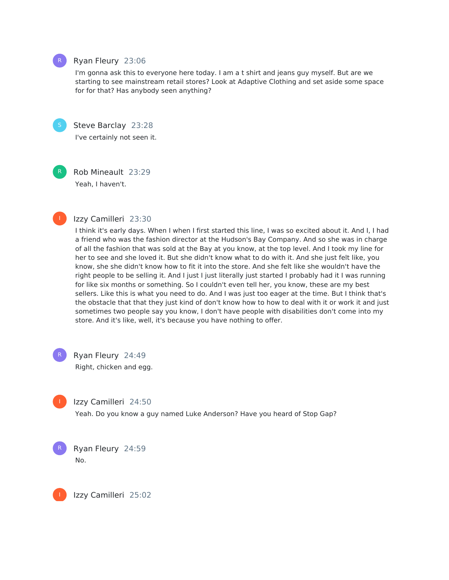

I'm gonna ask this to everyone here today. I am a t shirt and jeans guy myself. But are we starting to see mainstream retail stores? Look at Adaptive Clothing and set aside some space for for that? Has anybody seen anything?



Steve Barclay 23:28 I've certainly not seen it.



Rob Mineault 23:29 Yeah, I haven't.



## Izzy Camilleri 23:30

I think it's early days. When I when I first started this line, I was so excited about it. And I, I had a friend who was the fashion director at the Hudson's Bay Company. And so she was in charge of all the fashion that was sold at the Bay at you know, at the top level. And I took my line for her to see and she loved it. But she didn't know what to do with it. And she just felt like, you know, she she didn't know how to fit it into the store. And she felt like she wouldn't have the right people to be selling it. And I just I just literally just started I probably had it I was running for like six months or something. So I couldn't even tell her, you know, these are my best sellers. Like this is what you need to do. And I was just too eager at the time. But I think that's the obstacle that that they just kind of don't know how to how to deal with it or work it and just sometimes two people say you know, I don't have people with disabilities don't come into my store. And it's like, well, it's because you have nothing to offer.



Ryan Fleury 24:49

Right, chicken and egg.



R

#### Izzy Camilleri 24:50

Yeah. Do you know a guy named Luke Anderson? Have you heard of Stop Gap?

Ryan Fleury 24:59 No.

I

Izzy Camilleri 25:02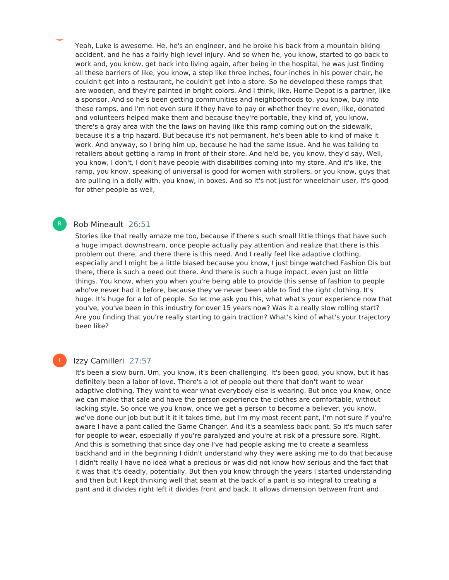Yeah, Luke is awesome. He, he's an engineer, and he broke his back from a mountain biking accident, and he has a fairly high level injury. And so when he, you know, started to go back to work and, you know, get back into living again, after being in the hospital, he was just finding all these barriers of like, you know, a step like three inches, four inches in his power chair, he couldn't get into a restaurant, he couldn't get into a store. So he developed these ramps that are wooden, and they're painted in bright colors. And I think, like, Home Depot is a partner, like a sponsor. And so he's been getting communities and neighborhoods to, you know, buy into these ramps, and I'm not even sure if they have to pay or whether they're even, like, donated and volunteers helped make them and because they're portable, they kind of, you know, there's a gray area with the the laws on having like this ramp coming out on the sidewalk, because it's a trip hazard. But because it's not permanent, he's been able to kind of make it work. And anyway, so I bring him up, because he had the same issue. And he was talking to retailers about getting a ramp in front of their store. And he'd be, you know, they'd say, Well, you know, I don't, I don't have people with disabilities coming into my store. And it's like, the ramp, you know, speaking of universal is good for women with strollers, or you know, guys that are pulling in a dolly with, you know, in boxes. And so it's not just for wheelchair user, it's good for other people as well,

## Rob Mineault 26:51

Stories like that really amaze me too, because if there's such small little things that have such a huge impact downstream, once people actually pay attention and realize that there is this problem out there, and there there is this need. And I really feel like adaptive clothing, especially and I might be a little biased because you know, I just binge watched Fashion Dis but there, there is such a need out there. And there is such a huge impact, even just on little things. You know, when you when you're being able to provide this sense of fashion to people who've never had it before, because they've never been able to find the right clothing. It's huge. It's huge for a lot of people. So let me ask you this, what what's your experience now that you've, you've been in this industry for over 15 years now? Was it a really slow rolling start? Are you finding that you're really starting to gain traction? What's kind of what's your trajectory been like?

## I

R

## Izzy Camilleri 27:57

It's been a slow burn. Um, you know, it's been challenging. It's been good, you know, but it has definitely been a labor of love. There's a lot of people out there that don't want to wear adaptive clothing. They want to wear what everybody else is wearing. But once you know, once we can make that sale and have the person experience the clothes are comfortable, without lacking style. So once we you know, once we get a person to become a believer, you know, we've done our job but but it it it takes time, but I'm my most recent pant, I'm not sure if you're aware I have a pant called the Game Changer. And it's a seamless back pant. So it's much safer for people to wear, especially if you're paralyzed and you're at risk of a pressure sore. Right. And this is something that since day one I've had people asking me to create a seamless backhand and in the beginning I didn't understand why they were asking me to do that because I didn't really I have no idea what a precious or was did not know how serious and the fact that it was that it's deadly, potentially. But then you know through the years I started understanding and then but I kept thinking well that seam at the back of a pant is so integral to creating a pant and it divides right left it divides front and back. It allows dimension between front and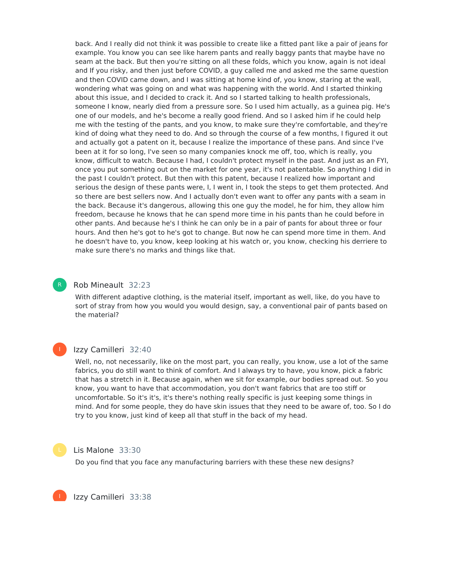back. And I really did not think it was possible to create like a fitted pant like a pair of jeans for example. You know you can see like harem pants and really baggy pants that maybe have no seam at the back. But then you're sitting on all these folds, which you know, again is not ideal and If you risky, and then just before COVID, a guy called me and asked me the same question and then COVID came down, and I was sitting at home kind of, you know, staring at the wall, wondering what was going on and what was happening with the world. And I started thinking about this issue, and I decided to crack it. And so I started talking to health professionals, someone I know, nearly died from a pressure sore. So I used him actually, as a guinea pig. He's one of our models, and he's become a really good friend. And so I asked him if he could help me with the testing of the pants, and you know, to make sure they're comfortable, and they're kind of doing what they need to do. And so through the course of a few months, I figured it out and actually got a patent on it, because I realize the importance of these pans. And since I've been at it for so long, I've seen so many companies knock me off, too, which is really, you know, difficult to watch. Because I had, I couldn't protect myself in the past. And just as an FYI, once you put something out on the market for one year, it's not patentable. So anything I did in the past I couldn't protect. But then with this patent, because I realized how important and serious the design of these pants were, I, I went in, I took the steps to get them protected. And so there are best sellers now. And I actually don't even want to offer any pants with a seam in the back. Because it's dangerous, allowing this one guy the model, he for him, they allow him freedom, because he knows that he can spend more time in his pants than he could before in other pants. And because he's I think he can only be in a pair of pants for about three or four hours. And then he's got to he's got to change. But now he can spend more time in them. And he doesn't have to, you know, keep looking at his watch or, you know, checking his derriere to make sure there's no marks and things like that.

#### Rob Mineault 32:23

With different adaptive clothing, is the material itself, important as well, like, do you have to sort of stray from how you would you would design, say, a conventional pair of pants based on the material?

#### Izzy Camilleri 32:40

Well, no, not necessarily, like on the most part, you can really, you know, use a lot of the same fabrics, you do still want to think of comfort. And I always try to have, you know, pick a fabric that has a stretch in it. Because again, when we sit for example, our bodies spread out. So you know, you want to have that accommodation, you don't want fabrics that are too stiff or uncomfortable. So it's it's, it's there's nothing really specific is just keeping some things in mind. And for some people, they do have skin issues that they need to be aware of, too. So I do try to you know, just kind of keep all that stuff in the back of my head.

I

#### Lis Malone 33:30

Do you find that you face any manufacturing barriers with these these new designs?

Izzy Camilleri 33:38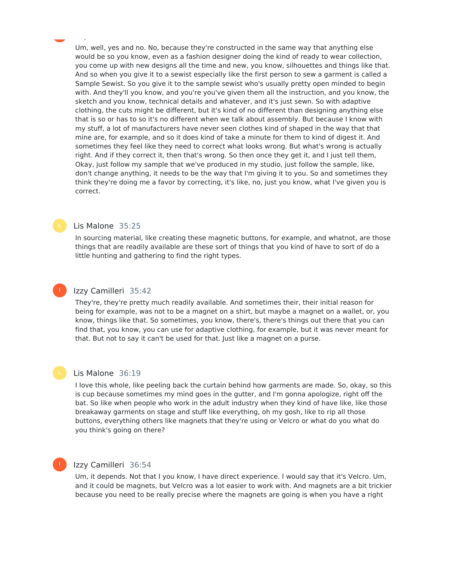Um, well, yes and no. No, because they're constructed in the same way that anything else would be so you know, even as a fashion designer doing the kind of ready to wear collection, you come up with new designs all the time and new, you know, silhouettes and things like that. And so when you give it to a sewist especially like the first person to sew a garment is called a Sample Sewist. So you give it to the sample sewist who's usually pretty open minded to begin with. And they'll you know, and you're you've given them all the instruction, and you know, the sketch and you know, technical details and whatever, and it's just sewn. So with adaptive clothing, the cuts might be different, but it's kind of no different than designing anything else that is so or has to so it's no different when we talk about assembly. But because I know with my stuff, a lot of manufacturers have never seen clothes kind of shaped in the way that that mine are, for example, and so it does kind of take a minute for them to kind of digest it. And sometimes they feel like they need to correct what looks wrong. But what's wrong is actually right. And if they correct it, then that's wrong. So then once they get it, and I just tell them, Okay, just follow my sample that we've produced in my studio, just follow the sample, like, don't change anything, it needs to be the way that I'm giving it to you. So and sometimes they think they're doing me a favor by correcting, it's like, no, just you know, what I've given you is correct.

#### Lis Malone 35:25

Izzy Camilleri 33:38

In sourcing material, like creating these magnetic buttons, for example, and whatnot, are those things that are readily available are these sort of things that you kind of have to sort of do a little hunting and gathering to find the right types.

## Izzy Camilleri 35:42

They're, they're pretty much readily available. And sometimes their, their initial reason for being for example, was not to be a magnet on a shirt, but maybe a magnet on a wallet, or, you know, things like that. So sometimes, you know, there's, there's things out there that you can find that, you know, you can use for adaptive clothing, for example, but it was never meant for that. But not to say it can't be used for that. Just like a magnet on a purse.

#### Lis Malone 36:19

I love this whole, like peeling back the curtain behind how garments are made. So, okay, so this is cup because sometimes my mind goes in the gutter, and I'm gonna apologize, right off the bat. So like when people who work in the adult industry when they kind of have like, like those breakaway garments on stage and stuff like everything, oh my gosh, like to rip all those buttons, everything others like magnets that they're using or Velcro or what do you what do you think's going on there?



#### Izzy Camilleri 36:54

Um, it depends. Not that I you know, I have direct experience. I would say that it's Velcro. Um, and it could be magnets, but Velcro was a lot easier to work with. And magnets are a bit trickier because you need to be really precise where the magnets are going is when you have a right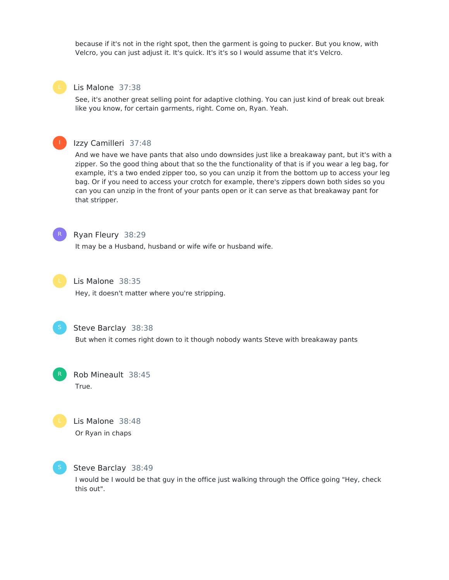because if it's not in the right spot, then the garment is going to pucker. But you know, with Velcro, you can just adjust it. It's quick. It's it's so I would assume that it's Velcro.

## Lis Malone 37:38

See, it's another great selling point for adaptive clothing. You can just kind of break out break like you know, for certain garments, right. Come on, Ryan. Yeah.

## Izzy Camilleri 37:48

And we have we have pants that also undo downsides just like a breakaway pant, but it's with a zipper. So the good thing about that so the the functionality of that is if you wear a leg bag, for example, it's a two ended zipper too, so you can unzip it from the bottom up to access your leg bag. Or if you need to access your crotch for example, there's zippers down both sides so you can you can unzip in the front of your pants open or it can serve as that breakaway pant for that stripper.



## Ryan Fleury 38:29

It may be a Husband, husband or wife wife or husband wife.



## Lis Malone 38:35

Hey, it doesn't matter where you're stripping.



R

## Steve Barclay 38:38

But when it comes right down to it though nobody wants Steve with breakaway pants

Rob Mineault 38:45 True.



## Lis Malone 38:48 Or Ryan in chaps



## Steve Barclay 38:49

I would be I would be that guy in the office just walking through the Office going "Hey, check this out".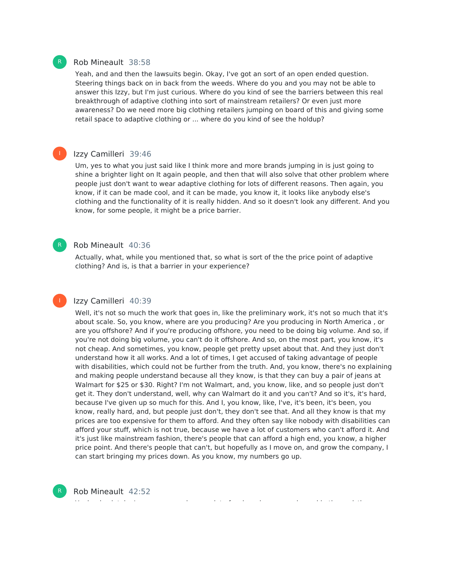#### Rob Mineault 38:58

Yeah, and and then the lawsuits begin. Okay, I've got an sort of an open ended question. Steering things back on in back from the weeds. Where do you and you may not be able to answer this Izzy, but I'm just curious. Where do you kind of see the barriers between this real breakthrough of adaptive clothing into sort of mainstream retailers? Or even just more awareness? Do we need more big clothing retailers jumping on board of this and giving some retail space to adaptive clothing or ... where do you kind of see the holdup?

### Izzy Camilleri 39:46

Um, yes to what you just said like I think more and more brands jumping in is just going to shine a brighter light on It again people, and then that will also solve that other problem where people just don't want to wear adaptive clothing for lots of different reasons. Then again, you know, if it can be made cool, and it can be made, you know it, it looks like anybody else's clothing and the functionality of it is really hidden. And so it doesn't look any different. And you know, for some people, it might be a price barrier.

#### Rob Mineault 40:36

Actually, what, while you mentioned that, so what is sort of the the price point of adaptive clothing? And is, is that a barrier in your experience?

#### Izzy Camilleri 40:39

Well, it's not so much the work that goes in, like the preliminary work, it's not so much that it's about scale. So, you know, where are you producing? Are you producing in North America , or are you offshore? And if you're producing offshore, you need to be doing big volume. And so, if you're not doing big volume, you can't do it offshore. And so, on the most part, you know, it's not cheap. And sometimes, you know, people get pretty upset about that. And they just don't understand how it all works. And a lot of times, I get accused of taking advantage of people with disabilities, which could not be further from the truth. And, you know, there's no explaining and making people understand because all they know, is that they can buy a pair of jeans at Walmart for \$25 or \$30. Right? I'm not Walmart, and, you know, like, and so people just don't get it. They don't understand, well, why can Walmart do it and you can't? And so it's, it's hard, because I've given up so much for this. And I, you know, like, I've, it's been, it's been, you know, really hard, and, but people just don't, they don't see that. And all they know is that my prices are too expensive for them to afford. And they often say like nobody with disabilities can afford your stuff, which is not true, because we have a lot of customers who can't afford it. And it's just like mainstream fashion, there's people that can afford a high end, you know, a higher price point. And there's people that can't, but hopefully as I move on, and grow the company, I can start bringing my prices down. As you know, my numbers go up.

Rob Mineault 42:52

R

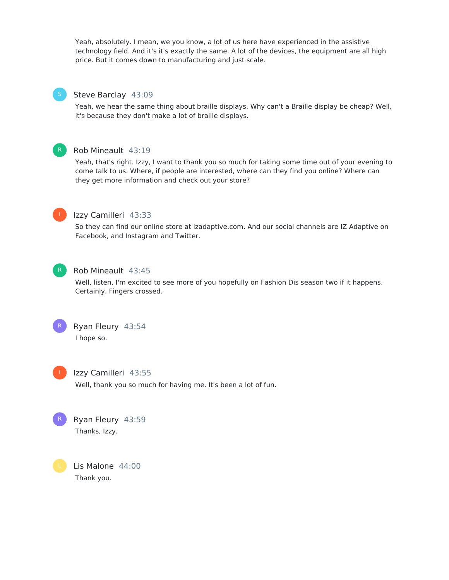Yeah, absolutely. I mean, we you know, a lot of us here have experienced in the assistive technology field. And it's it's exactly the same. A lot of the devices, the equipment are all high price. But it comes down to manufacturing and just scale.

## Steve Barclay 43:09

Yeah, we hear the same thing about braille displays. Why can't a Braille display be cheap? Well, it's because they don't make a lot of braille displays.



## Rob Mineault 43:19

Yeah, that's right. Izzy, I want to thank you so much for taking some time out of your evening to come talk to us. Where, if people are interested, where can they find you online? Where can they get more information and check out your store?



## Izzy Camilleri 43:33

So they can find our online store at izadaptive.com. And our social channels are IZ Adaptive on Facebook, and Instagram and Twitter.



## Rob Mineault 43:45

Well, listen, I'm excited to see more of you hopefully on Fashion Dis season two if it happens. Certainly. Fingers crossed.



# Ryan Fleury 43:54

I hope so.



#### Izzy Camilleri 43:55

Well, thank you so much for having me. It's been a lot of fun.

Ryan Fleury 43:59 Thanks, Izzy. R

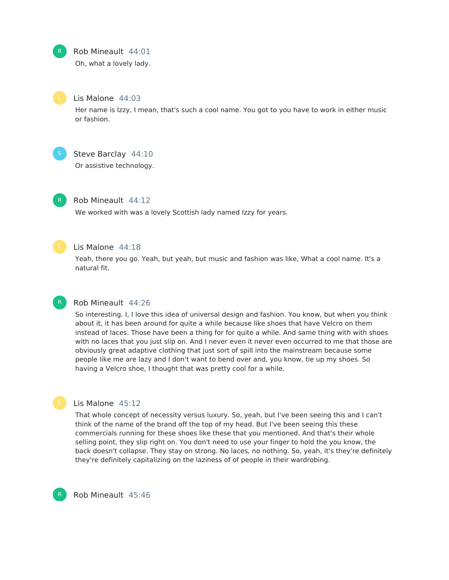#### Rob Mineault 44:01

Oh, what a lovely lady.



R

#### Lis Malone 44:03

Her name is Izzy, I mean, that's such a cool name. You got to you have to work in either music or fashion.



## Steve Barclay 44:10

Or assistive technology.



#### Rob Mineault 44:12

We worked with was a lovely Scottish lady named Izzy for years.



#### Lis Malone 44:18

Yeah, there you go. Yeah, but yeah, but music and fashion was like, What a cool name. It's a natural fit.

### Rob Mineault 44:26

So interesting. I, I love this idea of universal design and fashion. You know, but when you think about it, it has been around for quite a while because like shoes that have Velcro on them instead of laces. Those have been a thing for for quite a while. And same thing with with shoes with no laces that you just slip on. And I never even it never even occurred to me that those are obviously great adaptive clothing that just sort of spill into the mainstream because some people like me are lazy and I don't want to bend over and, you know, tie up my shoes. So having a Velcro shoe, I thought that was pretty cool for a while.

### Lis Malone 45:12

That whole concept of necessity versus luxury. So, yeah, but I've been seeing this and I can't think of the name of the brand off the top of my head. But I've been seeing this these commercials running for these shoes like these that you mentioned. And that's their whole selling point, they slip right on. You don't need to use your finger to hold the you know, the back doesn't collapse. They stay on strong. No laces, no nothing. So, yeah, it's they're definitely they're definitely capitalizing on the laziness of of people in their wardrobing.

Rob Mineault 45:46

R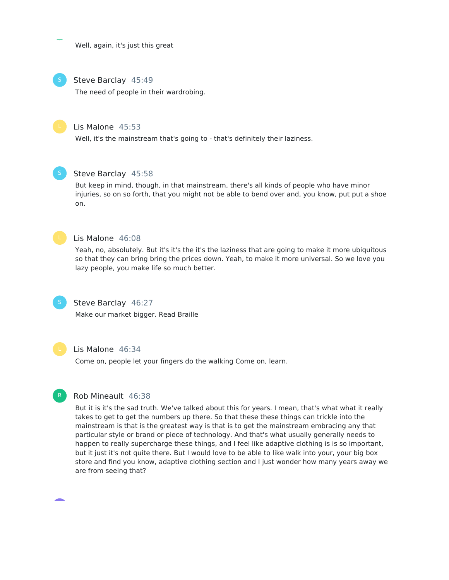Well, again, it's just this great

## Steve Barclay 45:49

The need of people in their wardrobing.

#### Lis Malone 45:53

Well, it's the mainstream that's going to - that's definitely their laziness.



## Steve Barclay 45:58

But keep in mind, though, in that mainstream, there's all kinds of people who have minor injuries, so on so forth, that you might not be able to bend over and, you know, put put a shoe on.



## Lis Malone 46:08

Yeah, no, absolutely. But it's it's the it's the laziness that are going to make it more ubiquitous so that they can bring bring the prices down. Yeah, to make it more universal. So we love you lazy people, you make life so much better.



## Steve Barclay 46:27

Make our market bigger. Read Braille



#### Lis Malone 46:34

Come on, people let your fingers do the walking Come on, learn.



## Rob Mineault 46:38

But it is it's the sad truth. We've talked about this for years. I mean, that's what what it really takes to get to get the numbers up there. So that these these things can trickle into the mainstream is that is the greatest way is that is to get the mainstream embracing any that particular style or brand or piece of technology. And that's what usually generally needs to happen to really supercharge these things, and I feel like adaptive clothing is is so important, but it just it's not quite there. But I would love to be able to like walk into your, your big box store and find you know, adaptive clothing section and I just wonder how many years away we are from seeing that?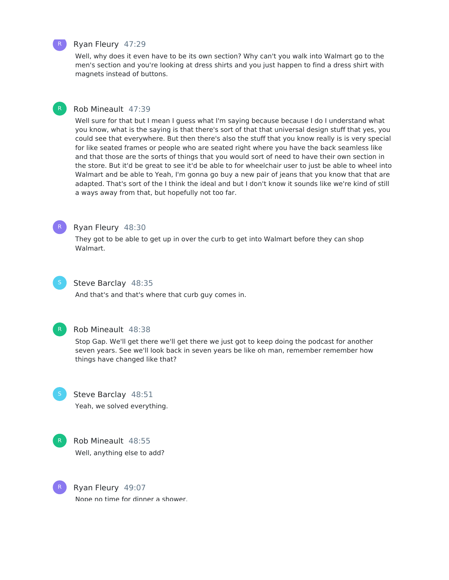## Ryan Fleury 47:29

Well, why does it even have to be its own section? Why can't you walk into Walmart go to the men's section and you're looking at dress shirts and you just happen to find a dress shirt with magnets instead of buttons.

## Rob Mineault 47:39

Well sure for that but I mean I guess what I'm saying because because I do I understand what you know, what is the saying is that there's sort of that that universal design stuff that yes, you could see that everywhere. But then there's also the stuff that you know really is is very special for like seated frames or people who are seated right where you have the back seamless like and that those are the sorts of things that you would sort of need to have their own section in the store. But it'd be great to see it'd be able to for wheelchair user to just be able to wheel into Walmart and be able to Yeah, I'm gonna go buy a new pair of jeans that you know that that are adapted. That's sort of the I think the ideal and but I don't know it sounds like we're kind of still a ways away from that, but hopefully not too far.



## Ryan Fleury 48:30

They got to be able to get up in over the curb to get into Walmart before they can shop Walmart.



### Steve Barclay 48:35

And that's and that's where that curb guy comes in.



#### Rob Mineault 48:38

Stop Gap. We'll get there we'll get there we just got to keep doing the podcast for another seven years. See we'll look back in seven years be like oh man, remember remember how things have changed like that?



# Steve Barclay 48:51

Yeah, we solved everything.



## Rob Mineault 48:55 Well, anything else to add?



Ryan Fleury 49:07 Nope no time for dinner a shower.

R

R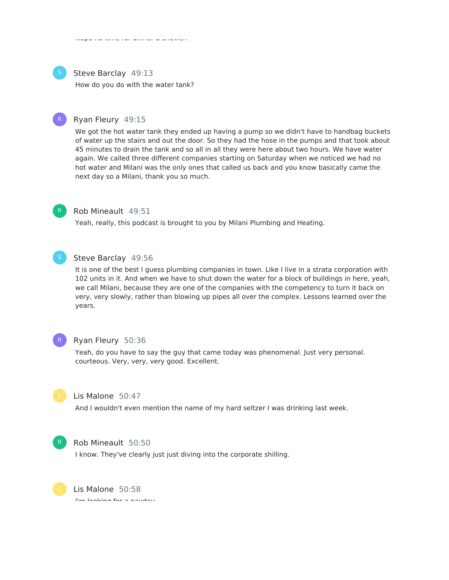

#### Steve Barclay 49:13

How do you do with the water tank?

## Ryan Fleury 49:15

We got the hot water tank they ended up having a pump so we didn't have to handbag buckets of water up the stairs and out the door. So they had the hose in the pumps and that took about 45 minutes to drain the tank and so all in all they were here about two hours. We have water again. We called three different companies starting on Saturday when we noticed we had no hot water and Milani was the only ones that called us back and you know basically came the next day so a Milani, thank you so much.



## Rob Mineault 49:51

Yeah, really, this podcast is brought to you by Milani Plumbing and Heating.



## Steve Barclay 49:56

It is one of the best I guess plumbing companies in town. Like I live in a strata corporation with 102 units in it. And when we have to shut down the water for a block of buildings in here, yeah, we call Milani, because they are one of the companies with the competency to turn it back on very, very slowly, rather than blowing up pipes all over the complex. Lessons learned over the years.

#### R

#### Ryan Fleury 50:36

Yeah, do you have to say the guy that came today was phenomenal. Just very personal. courteous. Very, very, very good. Excellent.



#### Lis Malone 50:47

And I wouldn't even mention the name of my hard seltzer I was drinking last week.



#### Rob Mineault 50:50

I know. They've clearly just just diving into the corporate shilling.



Lis Malone 50:58 I'm looking for a payday.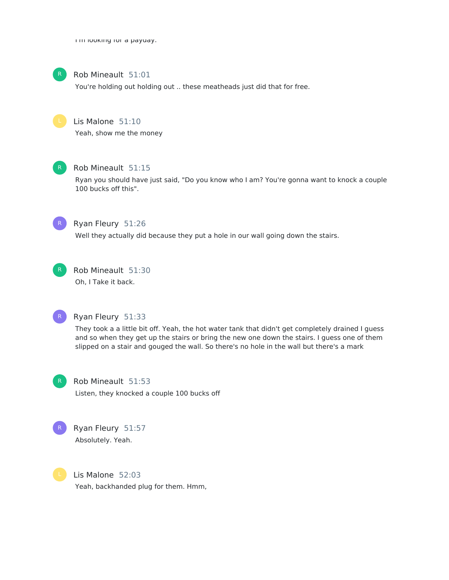I'm looking for a payday.



Rob Mineault 51:01

You're holding out holding out .. these meatheads just did that for free.



Lis Malone 51:10

Yeah, show me the money



### Rob Mineault 51:15

Ryan you should have just said, "Do you know who I am? You're gonna want to knock a couple 100 bucks off this".



Ryan Fleury 51:26

Well they actually did because they put a hole in our wall going down the stairs.



Rob Mineault 51:30 Oh, I Take it back.



## Ryan Fleury 51:33

They took a a little bit off. Yeah, the hot water tank that didn't get completely drained I guess and so when they get up the stairs or bring the new one down the stairs. I guess one of them slipped on a stair and gouged the wall. So there's no hole in the wall but there's a mark



# Rob Mineault 51:53

Listen, they knocked a couple 100 bucks off



Ryan Fleury 51:57 Absolutely. Yeah.

Lis Malone 52:03 Yeah, backhanded plug for them. Hmm,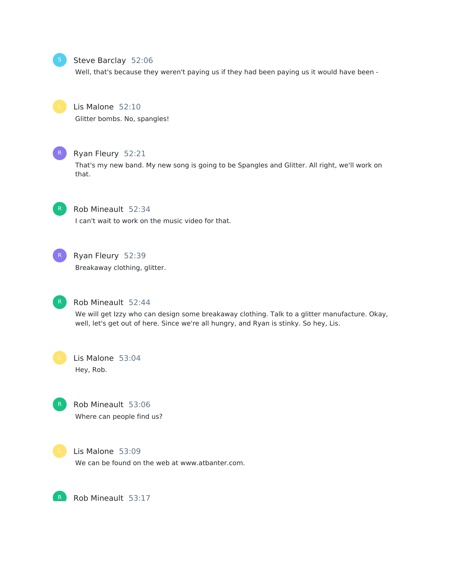

#### Steve Barclay 52:06

Well, that's because they weren't paying us if they had been paying us it would have been -



Lis Malone 52:10 Glitter bombs. No, spangles!

## Ryan Fleury 52:21

That's my new band. My new song is going to be Spangles and Glitter. All right, we'll work on that.



## Rob Mineault 52:34

I can't wait to work on the music video for that.



## Ryan Fleury 52:39

Breakaway clothing, glitter.



## Rob Mineault 52:44

We will get Izzy who can design some breakaway clothing. Talk to a glitter manufacture. Okay, well, let's get out of here. Since we're all hungry, and Ryan is stinky. So hey, Lis.

## Lis Malone 53:04 Hey, Rob.



## Rob Mineault 53:06 Where can people find us?

## Lis Malone 53:09

We can be found on the web at www.atbanter.com.

Rob Mineault 53:17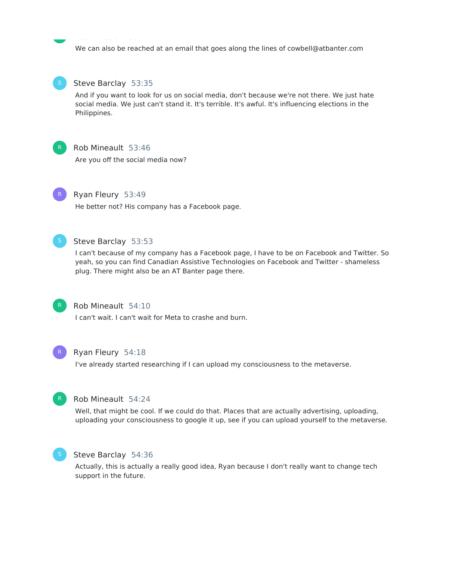We can also be reached at an email that goes along the lines of cowbell@atbanter.com



### Steve Barclay 53:35

Rob Mineault 53:17

And if you want to look for us on social media, don't because we're not there. We just hate social media. We just can't stand it. It's terrible. It's awful. It's influencing elections in the Philippines.



## Rob Mineault 53:46

Are you off the social media now?



## Ryan Fleury 53:49

He better not? His company has a Facebook page.



## Steve Barclay 53:53

I can't because of my company has a Facebook page, I have to be on Facebook and Twitter. So yeah, so you can find Canadian Assistive Technologies on Facebook and Twitter - shameless plug. There might also be an AT Banter page there.



## Rob Mineault 54:10

I can't wait. I can't wait for Meta to crashe and burn.



## Ryan Fleury 54:18

I've already started researching if I can upload my consciousness to the metaverse.



#### Rob Mineault 54:24

Well, that might be cool. If we could do that. Places that are actually advertising, uploading, uploading your consciousness to google it up, see if you can upload yourself to the metaverse.



#### Steve Barclay 54:36

Actually, this is actually a really good idea, Ryan because I don't really want to change tech support in the future.